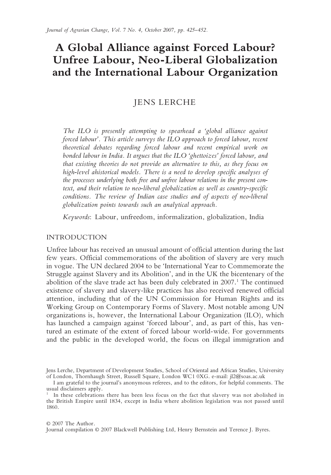# A Global Alliance against Forced Labour? **Unfree Labour, Neo-Liberal Globalization and the International Labour Organization**

## JENS LERCHE

*The ILO is presently attempting to spearhead a 'global alliance against forced labour'. This article surveys the ILO approach to forced labour, recent theoretical debates regarding forced labour and recent empirical work on bonded labour in India. It argues that the ILO 'ghettoizes' forced labour, and that existing theories do not provide an alternative to this, as they focus on high-level ahistorical models. There is a need to develop specific analyses of the processes underlying both free and unfree labour relations in the present context, and their relation to neo-liberal globalization as well as country-specific conditions. The review of Indian case studies and of aspects of neo-liberal globalization points towards such an analytical approach.*

*Keywords*: Labour, unfreedom, informalization, globalization, India

## INTRODUCTION

Unfree labour has received an unusual amount of official attention during the last few years. Official commemorations of the abolition of slavery are very much in vogue. The UN declared 2004 to be 'International Year to Commemorate the Struggle against Slavery and its Abolition', and in the UK the bicentenary of the abolition of the slave trade act has been duly celebrated in  $2007<sup>1</sup>$ . The continued existence of slavery and slavery-like practices has also received renewed official attention, including that of the UN Commission for Human Rights and its Working Group on Contemporary Forms of Slavery. Most notable among UN organizations is, however, the International Labour Organization (ILO), which has launched a campaign against 'forced labour', and, as part of this, has ventured an estimate of the extent of forced labour world-wide. For governments and the public in the developed world, the focus on illegal immigration and

© 2007 The Author.

Journal compilation © 2007 Blackwell Publishing Ltd, Henry Bernstein and Terence J. Byres.

Jens Lerche, Department of Development Studies, School of Oriental and African Studies, University of London, Thornhaugh Street, Russell Square, London WC1 0XG. e-mail: jl2@soas.ac.uk

I am grateful to the journal's anonymous referees, and to the editors, for helpful comments. The usual disclaimers apply.

<sup>&</sup>lt;sup>1</sup> In these celebrations there has been less focus on the fact that slavery was not abolished in the British Empire until 1834, except in India where abolition legislation was not passed until 1860.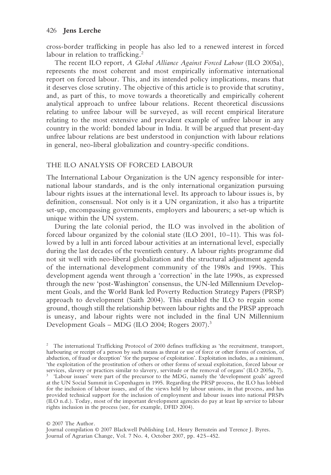cross-border trafficking in people has also led to a renewed interest in forced labour in relation to trafficking.<sup>2</sup>

The recent ILO report, *A Global Alliance Against Forced Labour* (ILO 2005a), represents the most coherent and most empirically informative international report on forced labour. This, and its intended policy implications, means that it deserves close scrutiny. The objective of this article is to provide that scrutiny, and, as part of this, to move towards a theoretically and empirically coherent analytical approach to unfree labour relations. Recent theoretical discussions relating to unfree labour will be surveyed, as will recent empirical literature relating to the most extensive and prevalent example of unfree labour in any country in the world: bonded labour in India. It will be argued that present-day unfree labour relations are best understood in conjunction with labour relations in general, neo-liberal globalization and country-specific conditions.

## THE ILO ANALYSIS OF FORCED LABOUR

The International Labour Organization is the UN agency responsible for international labour standards, and is the only international organization pursuing labour rights issues at the international level. Its approach to labour issues is, by definition, consensual. Not only is it a UN organization, it also has a tripartite set-up, encompassing governments, employers and labourers; a set-up which is unique within the UN system.

During the late colonial period, the ILO was involved in the abolition of forced labour organized by the colonial state (ILO 2001, 10–11). This was followed by a lull in anti forced labour activities at an international level, especially during the last decades of the twentieth century. A labour rights programme did not sit well with neo-liberal globalization and the structural adjustment agenda of the international development community of the 1980s and 1990s. This development agenda went through a 'correction' in the late 1990s, as expressed through the new 'post-Washington' consensus, the UN-led Millennium Development Goals, and the World Bank led Poverty Reduction Strategy Papers (PRSP) approach to development (Saith 2004). This enabled the ILO to regain some ground, though still the relationship between labour rights and the PRSP approach is uneasy, and labour rights were not included in the final UN Millennium Development Goals – MDG (ILO 2004; Rogers 2007).3

<sup>2</sup> The international Trafficking Protocol of 2000 defines trafficking as 'the recruitment, transport, harbouring or receipt of a person by such means as threat or use of force or other forms of coercion, of abduction, of fraud or deception' 'for the purpose of exploitation'. Exploitation includes, as a minimum, 'the exploitation of the prostitution of others or other forms of sexual exploitation, forced labour or services, slavery or practices similar to slavery, servitude or the removal of organs' (ILO 2005a, 7). <sup>3</sup> 'Labour issues' were part of the precursor to the MDG, namely the 'development goals' agreed at the UN Social Summit in Copenhagen in 1995. Regarding the PRSP process, the ILO has lobbied for the inclusion of labour issues, and of the views held by labour unions, in that process, and has provided technical support for the inclusion of employment and labour issues into national PRSPs (ILO n.d.). Today, most of the important development agencies do pay at least lip service to labour rights inclusion in the process (see, for example, DFID 2004).

© 2007 The Author.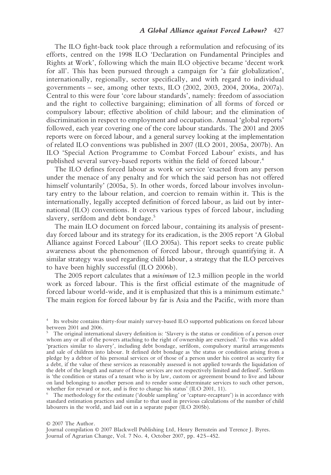The ILO fight-back took place through a reformulation and refocusing of its efforts, centred on the 1998 ILO 'Declaration on Fundamental Principles and Rights at Work', following which the main ILO objective became 'decent work for all'. This has been pursued through a campaign for 'a fair globalization', internationally, regionally, sector specifically, and with regard to individual governments – see, among other texts, ILO (2002, 2003, 2004, 2006a, 2007a). Central to this were four 'core labour standards', namely: freedom of association and the right to collective bargaining; elimination of all forms of forced or compulsory labour; effective abolition of child labour; and the elimination of discrimination in respect to employment and occupation. Annual 'global reports' followed, each year covering one of the core labour standards. The 2001 and 2005 reports were on forced labour, and a general survey looking at the implementation of related ILO conventions was published in 2007 (ILO 2001, 2005a, 2007b). An ILO 'Special Action Programme to Combat Forced Labour' exists, and has published several survey-based reports within the field of forced labour.<sup>4</sup>

The ILO defines forced labour as work or service 'exacted from any person under the menace of any penalty and for which the said person has not offered himself voluntarily' (2005a, 5). In other words, forced labour involves involuntary entry to the labour relation, and coercion to remain within it. This is the internationally, legally accepted definition of forced labour, as laid out by international (ILO) conventions. It covers various types of forced labour, including slavery, serfdom and debt bondage.<sup>5</sup>

The main ILO document on forced labour, containing its analysis of presentday forced labour and its strategy for its eradication, is the 2005 report 'A Global Alliance against Forced Labour' (ILO 2005a). This report seeks to create public awareness about the phenomenon of forced labour, through quantifying it. A similar strategy was used regarding child labour, a strategy that the ILO perceives to have been highly successful (ILO 2006b).

The 2005 report calculates that a *minimum* of 12.3 million people in the world work as forced labour. This is the first official estimate of the magnitude of forced labour world-wide, and it is emphasized that this is a minimum estimate.<sup>6</sup> The main region for forced labour by far is Asia and the Pacific, with more than

<sup>6</sup> The methodology for the estimate ('double sampling' or 'capture-recapture') is in accordance with standard estimation practices and similar to that used in previous calculations of the number of child labourers in the world, and laid out in a separate paper (ILO 2005b).

© 2007 The Author.

<sup>4</sup> Its website contains thirty-four mainly survey-based ILO supported publications on forced labour between 2001 and 2006.

<sup>5</sup> The original international slavery definition is: 'Slavery is the status or condition of a person over whom any or all of the powers attaching to the right of ownership are exercised.' To this was added 'practices similar to slavery', including debt bondage, serfdom, compulsory marital arrangements and sale of children into labour. It defined debt bondage as 'the status or condition arising from a pledge by a debtor of his personal services or of those of a person under his control as security for a debt, if the value of these services as reasonably assessed is not applied towards the liquidation of the debt of the length and nature of those services are not respectively limited and defined'. Serfdom is 'the condition or status of a tenant who is by law, custom or agreement bound to live and labour on land belonging to another person and to render some determinate services to such other person, whether for reward or not, and is free to change his status' (ILO 2001, 11).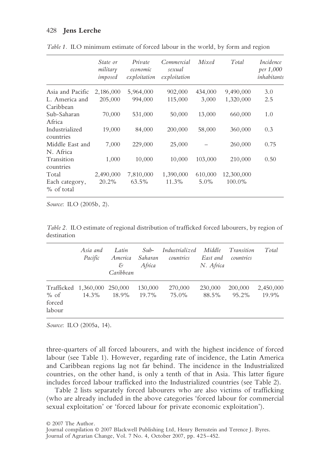## 428 **Jens Lerche**

|                                       | State or<br>military<br>imposed | Private<br>economic<br>exploitation | Commercial<br>sexual<br>exploitation | Mixed              | Total                | Incidence<br>per 1,000<br>inhabitants |
|---------------------------------------|---------------------------------|-------------------------------------|--------------------------------------|--------------------|----------------------|---------------------------------------|
| Asia and Pacific                      | 2,186,000                       | 5,964,000                           | 902,000                              | 434,000            | 9,490,000            | 3.0                                   |
| L. America and<br>Caribbean           | 205,000                         | 994,000                             | 115,000                              | 3,000              | 1,320,000            | 2.5                                   |
| Sub-Saharan<br>Africa                 | 70,000                          | 531,000                             | 50,000                               | 13,000             | 660,000              | 1.0                                   |
| Industrialized<br>countries           | 19,000                          | 84,000                              | 200,000                              | 58,000             | 360,000              | 0.3                                   |
| Middle East and<br>N. Africa          | 7,000                           | 229,000                             | 25,000                               |                    | 260,000              | 0.75                                  |
| Transition<br>countries               | 1.000                           | 10,000                              | 10,000                               | 103,000            | 210,000              | 0.50                                  |
| Total<br>Each category,<br>% of total | 2,490,000<br>$20.2\%$           | 7,810,000<br>63.5%                  | 1,390,000<br>$11.3\%$                | 610,000<br>$5.0\%$ | 12,300,000<br>100.0% |                                       |

*Table 1.* ILO minimum estimate of forced labour in the world, by form and region

*Source*: ILO (2005b, 2).

*Table 2.* ILO estimate of regional distribution of trafficked forced labourers, by region of destination

|                                                            | Asia and<br>Pacific | Latin<br>America<br>દ<br>Caribbean | $Sub-$<br>Saharan<br>Africa | Industrialized Middle<br>countries | East and<br>N. Africa | Transition<br>countries | Total              |
|------------------------------------------------------------|---------------------|------------------------------------|-----------------------------|------------------------------------|-----------------------|-------------------------|--------------------|
| Trafficked 1,360,000 250,000<br>$%$ of<br>forced<br>labour | 14.3%               | 18.9%                              | 130,000<br>19.7%            | 270,000<br>75.0%                   | 230,000<br>88.5%      | 200,000<br>95.2%        | 2,450,000<br>19.9% |

*Source*: ILO (2005a, 14).

three-quarters of all forced labourers, and with the highest incidence of forced labour (see Table 1). However, regarding rate of incidence, the Latin America and Caribbean regions lag not far behind. The incidence in the Industrialized countries, on the other hand, is only a tenth of that in Asia. This latter figure includes forced labour trafficked into the Industrialized countries (see Table 2).

Table 2 lists separately forced labourers who are also victims of trafficking (who are already included in the above categories 'forced labour for commercial sexual exploitation' or 'forced labour for private economic exploitation').

© 2007 The Author.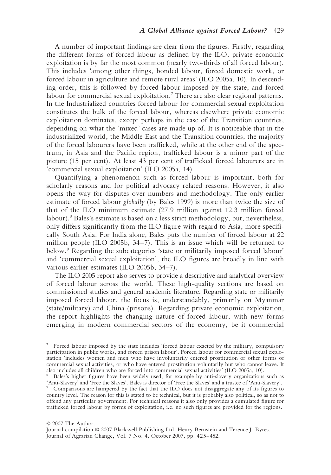A number of important findings are clear from the figures. Firstly, regarding the different forms of forced labour as defined by the ILO, private economic exploitation is by far the most common (nearly two-thirds of all forced labour). This includes 'among other things, bonded labour, forced domestic work, or forced labour in agriculture and remote rural areas' (ILO 2005a, 10). In descending order, this is followed by forced labour imposed by the state, and forced labour for commercial sexual exploitation.<sup>7</sup> There are also clear regional patterns. In the Industrialized countries forced labour for commercial sexual exploitation constitutes the bulk of the forced labour, whereas elsewhere private economic exploitation dominates, except perhaps in the case of the Transition countries, depending on what the 'mixed' cases are made up of. It is noticeable that in the industrialized world, the Middle East and the Transition countries, the majority of the forced labourers have been trafficked, while at the other end of the spectrum, in Asia and the Pacific region, trafficked labour is a minor part of the picture (15 per cent). At least 43 per cent of trafficked forced labourers are in 'commercial sexual exploitation' (ILO 2005a, 14).

Quantifying a phenomenon such as forced labour is important, both for scholarly reasons and for political advocacy related reasons. However, it also opens the way for disputes over numbers and methodology. The only earlier estimate of forced labour *globally* (by Bales 1999) is more than twice the size of that of the ILO minimum estimate (27.9 million against 12.3 million forced labour).<sup>8</sup> Bales's estimate is based on a less strict methodology, but, nevertheless, only differs significantly from the ILO figure with regard to Asia, more specifically South Asia. For India alone, Bales puts the number of forced labour at 22 million people (ILO 2005b, 34–7). This is an issue which will be returned to below.<sup>9</sup> Regarding the subcategories 'state or militarily imposed forced labour' and 'commercial sexual exploitation', the ILO figures are broadly in line with various earlier estimates (ILO 2005b, 34–7).

The ILO 2005 report also serves to provide a descriptive and analytical overview of forced labour across the world. These high-quality sections are based on commissioned studies and general academic literature. Regarding state or militarily imposed forced labour, the focus is, understandably, primarily on Myanmar (state/military) and China (prisons). Regarding private economic exploitation, the report highlights the changing nature of forced labour, with new forms emerging in modern commercial sectors of the economy, be it commercial

© 2007 The Author.

<sup>7</sup> Forced labour imposed by the state includes 'forced labour exacted by the military, compulsory participation in public works, and forced prison labour'. Forced labour for commercial sexual exploitation 'includes women and men who have involuntarily entered prostitution or other forms of commercial sexual activities, or who have entered prostitution voluntarily but who cannot leave. It also includes all children who are forced into commercial sexual activities' (ILO 2005a, 10).

<sup>&</sup>lt;sup>8</sup> Bales's higher figures have been widely used, for example by anti-slavery organizations such as 'Anti-Slavery' and 'Free the Slaves'. Bales is director of 'Free the Slaves' and a trustee of 'Anti-Slavery'.

<sup>&</sup>lt;sup>9</sup> Comparisons are hampered by the fact that the ILO does not disaggregate any of its figures to country level. The reason for this is stated to be technical, but it is probably also political, so as not to offend any particular government. For technical reasons it also only provides a cumulated figure for trafficked forced labour by forms of exploitation, i.e. no such figures are provided for the regions.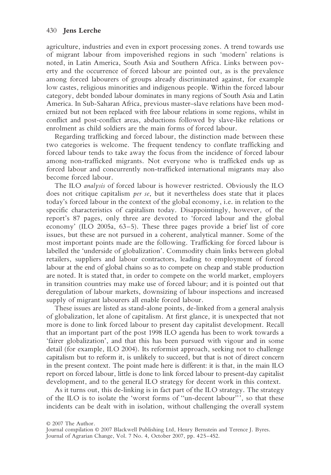agriculture, industries and even in export processing zones. A trend towards use of migrant labour from impoverished regions in such 'modern' relations is noted, in Latin America, South Asia and Southern Africa. Links between poverty and the occurrence of forced labour are pointed out, as is the prevalence among forced labourers of groups already discriminated against, for example low castes, religious minorities and indigenous people. Within the forced labour category, debt bonded labour dominates in many regions of South Asia and Latin America. In Sub-Saharan Africa, previous master–slave relations have been modernized but not been replaced with free labour relations in some regions, whilst in conflict and post-conflict areas, abductions followed by slave-like relations or enrolment as child soldiers are the main forms of forced labour.

Regarding trafficking and forced labour, the distinction made between these two categories is welcome. The frequent tendency to conflate trafficking and forced labour tends to take away the focus from the incidence of forced labour among non-trafficked migrants. Not everyone who is trafficked ends up as forced labour and concurrently non-trafficked international migrants may also become forced labour.

The ILO *analysis* of forced labour is however restricted. Obviously the ILO does not critique capitalism *per se*, but it nevertheless does state that it places today's forced labour in the context of the global economy, i.e. in relation to the specific characteristics of capitalism today. Disappointingly, however, of the report's 87 pages, only three are devoted to 'forced labour and the global economy' (ILO 2005a, 63–5). These three pages provide a brief list of core issues, but these are not pursued in a coherent, analytical manner. Some of the most important points made are the following. Trafficking for forced labour is labelled the 'underside of globalization'. Commodity chain links between global retailers, suppliers and labour contractors, leading to employment of forced labour at the end of global chains so as to compete on cheap and stable production are noted. It is stated that, in order to compete on the world market, employers in transition countries may make use of forced labour; and it is pointed out that deregulation of labour markets, downsizing of labour inspections and increased supply of migrant labourers all enable forced labour.

These issues are listed as stand-alone points, de-linked from a general analysis of globalization, let alone of capitalism. At first glance, it is unexpected that not more is done to link forced labour to present day capitalist development. Recall that an important part of the post 1998 ILO agenda has been to work towards a 'fairer globalization', and that this has been pursued with vigour and in some detail (for example, ILO 2004). Its reformist approach, seeking not to challenge capitalism but to reform it, is unlikely to succeed, but that is not of direct concern in the present context. The point made here is different: it is that, in the main ILO report on forced labour, little is done to link forced labour to present-day capitalist development, and to the general ILO strategy for decent work in this context.

As it turns out, this de-linking is in fact part of the ILO strategy. The strategy of the ILO is to isolate the 'worst forms of "un-decent labour"', so that these incidents can be dealt with in isolation, without challenging the overall system

<sup>© 2007</sup> The Author.

Journal compilation © 2007 Blackwell Publishing Ltd, Henry Bernstein and Terence J. Byres. Journal of Agrarian Change, Vol. 7 No. 4, October 2007, pp. 425–452.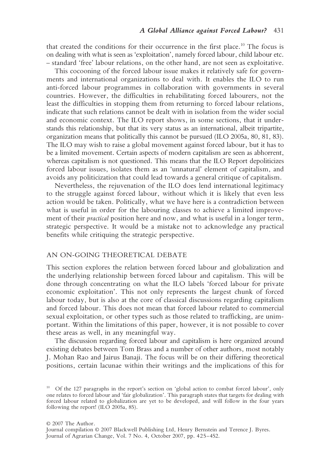that created the conditions for their occurrence in the first place.<sup>10</sup> The focus is on dealing with what is seen as 'exploitation', namely forced labour, child labour etc. – standard 'free' labour relations, on the other hand, are not seen as exploitative.

This cocooning of the forced labour issue makes it relatively safe for governments and international organizations to deal with. It enables the ILO to run anti-forced labour programmes in collaboration with governments in several countries. However, the difficulties in rehabilitating forced labourers, not the least the difficulties in stopping them from returning to forced labour relations, indicate that such relations cannot be dealt with in isolation from the wider social and economic context. The ILO report shows, in some sections, that it understands this relationship, but that its very status as an international, albeit tripartite, organization means that politically this cannot be pursued (ILO 2005a, 80, 81, 83). The ILO may wish to raise a global movement against forced labour, but it has to be a limited movement. Certain aspects of modern capitalism are seen as abhorrent, whereas capitalism is not questioned. This means that the ILO Report depoliticizes forced labour issues, isolates them as an 'unnatural' element of capitalism, and avoids any politicization that could lead towards a general critique of capitalism.

Nevertheless, the rejuvenation of the ILO does lend international legitimacy to the struggle against forced labour, without which it is likely that even less action would be taken. Politically, what we have here is a contradiction between what is useful in order for the labouring classes to achieve a limited improvement of their *practical* position here and now, and what is useful in a longer term, strategic perspective. It would be a mistake not to acknowledge any practical benefits while critiquing the strategic perspective.

## AN ON-GOING THEORETICAL DEBATE

This section explores the relation between forced labour and globalization and the underlying relationship between forced labour and capitalism. This will be done through concentrating on what the ILO labels 'forced labour for private economic exploitation'. This not only represents the largest chunk of forced labour today, but is also at the core of classical discussions regarding capitalism and forced labour. This does not mean that forced labour related to commercial sexual exploitation, or other types such as those related to trafficking, are unimportant. Within the limitations of this paper, however, it is not possible to cover these areas as well, in any meaningful way.

The discussion regarding forced labour and capitalism is here organized around existing debates between Tom Brass and a number of other authors, most notably J. Mohan Rao and Jairus Banaji. The focus will be on their differing theoretical positions, certain lacunae within their writings and the implications of this for

© 2007 The Author.

<sup>&</sup>lt;sup>10</sup> Of the 127 paragraphs in the report's section on 'global action to combat forced labour', only one relates to forced labour and 'fair globalization'. This paragraph states that targets for dealing with forced labour related to globalization are yet to be developed, and will follow in the four years following the report! (ILO 2005a, 85).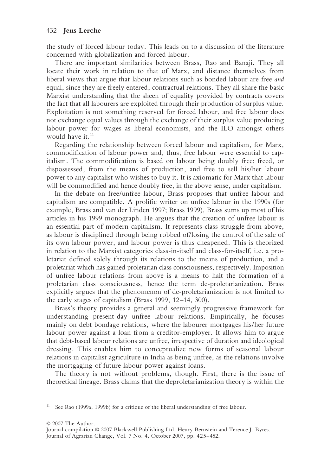the study of forced labour today. This leads on to a discussion of the literature concerned with globalization and forced labour.

There are important similarities between Brass, Rao and Banaji. They all locate their work in relation to that of Marx, and distance themselves from liberal views that argue that labour relations such as bonded labour are free *and* equal, since they are freely entered, contractual relations. They all share the basic Marxist understanding that the sheen of equality provided by contracts covers the fact that all labourers are exploited through their production of surplus value. Exploitation is not something reserved for forced labour, and free labour does not exchange equal values through the exchange of their surplus value producing labour power for wages as liberal economists, and the ILO amongst others would have it. $11$ 

Regarding the relationship between forced labour and capitalism, for Marx, commodification of labour power and, thus, free labour were essential to capitalism. The commodification is based on labour being doubly free: freed, or dispossessed, from the means of production, and free to sell his/her labour power to any capitalist who wishes to buy it. It is axiomatic for Marx that labour will be commodified and hence doubly free, in the above sense, under capitalism.

In the debate on free/unfree labour, Brass proposes that unfree labour and capitalism are compatible. A prolific writer on unfree labour in the 1990s (for example, Brass and van der Linden 1997; Brass 1999), Brass sums up most of his articles in his 1999 monograph. He argues that the creation of unfree labour is an essential part of modern capitalism. It represents class struggle from above, as labour is disciplined through being robbed of/losing the control of the sale of its own labour power, and labour power is thus cheapened. This is theorized in relation to the Marxist categories class-in-itself and class-for-itself, i.e. a proletariat defined solely through its relations to the means of production, and a proletariat which has gained proletarian class consciousness, respectively. Imposition of unfree labour relations from above is a means to halt the formation of a proletarian class consciousness, hence the term de-proletarianization. Brass explicitly argues that the phenomenon of de-proletarianization is not limited to the early stages of capitalism (Brass 1999, 12–14, 300).

Brass's theory provides a general and seemingly progressive framework for understanding present-day unfree labour relations. Empirically, he focuses mainly on debt bondage relations, where the labourer mortgages his/her future labour power against a loan from a creditor-employer. It allows him to argue that debt-based labour relations are unfree, irrespective of duration and ideological dressing. This enables him to conceptualize new forms of seasonal labour relations in capitalist agriculture in India as being unfree, as the relations involve the mortgaging of future labour power against loans.

The theory is not without problems, though. First, there is the issue of theoretical lineage. Brass claims that the deproletarianization theory is within the

© 2007 The Author.

 $11$  See Rao (1999a, 1999b) for a critique of the liberal understanding of free labour.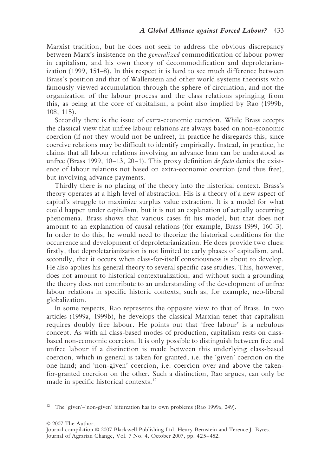Marxist tradition, but he does not seek to address the obvious discrepancy between Marx's insistence on the *generalized* commodification of labour power in capitalism, and his own theory of decommodification and deproletarianization (1999, 151–8). In this respect it is hard to see much difference between Brass's position and that of Wallerstein and other world systems theorists who famously viewed accumulation through the sphere of circulation, and not the organization of the labour process and the class relations springing from this, as being at the core of capitalism, a point also implied by Rao (1999b, 108, 115).

Secondly there is the issue of extra-economic coercion. While Brass accepts the classical view that unfree labour relations are always based on non-economic coercion (if not they would not be unfree), in practice he disregards this, since coercive relations may be difficult to identify empirically. Instead, in practice, he claims that all labour relations involving an advance loan can be understood as unfree (Brass 1999, 10–13, 20–1). This proxy definition *de facto* denies the existence of labour relations not based on extra-economic coercion (and thus free), but involving advance payments.

Thirdly there is no placing of the theory into the historical context. Brass's theory operates at a high level of abstraction. His is a theory of a new aspect of capital's struggle to maximize surplus value extraction. It is a model for what could happen under capitalism, but it is not an explanation of actually occurring phenomena. Brass shows that various cases fit his model, but that does not amount to an explanation of causal relations (for example, Brass 1999, 160–3). In order to do this, he would need to theorize the historical conditions for the occurrence and development of deproletarianization. He does provide two clues: firstly, that deproletarianization is not limited to early phases of capitalism, and, secondly, that it occurs when class-for-itself consciousness is about to develop. He also applies his general theory to several specific case studies. This, however, does not amount to historical contextualization, and without such a grounding the theory does not contribute to an understanding of the development of unfree labour relations in specific historic contexts, such as, for example, neo-liberal globalization.

In some respects, Rao represents the opposite view to that of Brass. In two articles (1999a, 1999b), he develops the classical Marxian tenet that capitalism requires doubly free labour. He points out that 'free labour' is a nebulous concept. As with all class-based modes of production, capitalism rests on classbased non-economic coercion. It is only possible to distinguish between free and unfree labour if a distinction is made between this underlying class-based coercion, which in general is taken for granted, i.e. the 'given' coercion on the one hand; and 'non-given' coercion, i.e. coercion over and above the takenfor-granted coercion on the other. Such a distinction, Rao argues, can only be made in specific historical contexts.12

<sup>12</sup> The 'given'–'non-given' bifurcation has its own problems (Rao 1999a, 249).

© 2007 The Author.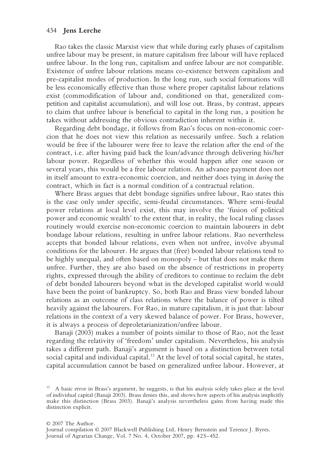## 434 **Jens Lerche**

Rao takes the classic Marxist view that while during early phases of capitalism unfree labour may be present, in mature capitalism free labour will have replaced unfree labour. In the long run, capitalism and unfree labour are not compatible. Existence of unfree labour relations means co-existence between capitalism and pre-capitalist modes of production. In the long run, such social formations will be less economically effective than those where proper capitalist labour relations exist (commodification of labour and, conditioned on that, generalized competition and capitalist accumulation), and will lose out. Brass, by contrast, appears to claim that unfree labour is beneficial to capital in the long run, a position he takes without addressing the obvious contradiction inherent within it.

Regarding debt bondage, it follows from Rao's focus on non-economic coercion that he does not view this relation as necessarily unfree. Such a relation would be free if the labourer were free to leave the relation after the end of the contract, i.e. after having paid back the loan/advance through delivering his/her labour power. Regardless of whether this would happen after one season or several years, this would be a free labour relation. An advance payment does not in itself amount to extra-economic coercion, and neither does tying in *during* the contract, which in fact is a normal condition of a contractual relation.

Where Brass argues that debt bondage signifies unfree labour, Rao states this is the case only under specific, semi-feudal circumstances. Where semi-feudal power relations at local level exist, this may involve the 'fusion of political power and economic wealth' to the extent that, in reality, the local ruling classes routinely would exercise non-economic coercion to maintain labourers in debt bondage labour relations, resulting in unfree labour relations. Rao nevertheless accepts that bonded labour relations, even when not unfree, involve abysmal conditions for the labourer. He argues that (free) bonded labour relations tend to be highly unequal, and often based on monopoly – but that does not make them unfree. Further, they are also based on the absence of restrictions in property rights, expressed through the ability of creditors to continue to reclaim the debt of debt bonded labourers beyond what in the developed capitalist world would have been the point of bankruptcy. So, both Rao and Brass view bonded labour relations as an outcome of class relations where the balance of power is tilted heavily against the labourers. For Rao, in mature capitalism, it is just that: labour relations in the context of a very skewed balance of power. For Brass, however, it is always a process of deproletarianization/unfree labour.

Banaji (2003) makes a number of points similar to those of Rao, not the least regarding the relativity of 'freedom' under capitalism. Nevertheless, his analysis takes a different path. Banaji's argument is based on a distinction between total social capital and individual capital.<sup>13</sup> At the level of total social capital, he states, capital accumulation cannot be based on generalized unfree labour. However, at

© 2007 The Author.

<sup>&</sup>lt;sup>13</sup> A basic error in Brass's argument, he suggests, is that his analysis solely takes place at the level of individual capital (Banaji 2003). Brass denies this, and shows how aspects of his analysis implicitly make this distinction (Brass 2003). Banaji's analysis nevertheless gains from having made this distinction explicit.

Journal compilation © 2007 Blackwell Publishing Ltd, Henry Bernstein and Terence J. Byres. Journal of Agrarian Change, Vol. 7 No. 4, October 2007, pp. 425–452.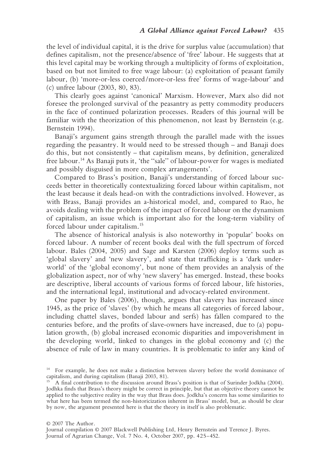the level of individual capital, it is the drive for surplus value (accumulation) that defines capitalism, not the presence/absence of 'free' labour. He suggests that at this level capital may be working through a multiplicity of forms of exploitation, based on but not limited to free wage labour: (a) exploitation of peasant family labour, (b) 'more-or-less coerced/more-or-less free' forms of wage-labour' and (c) unfree labour (2003, 80, 83).

This clearly goes against 'canonical' Marxism. However, Marx also did not foresee the prolonged survival of the peasantry as petty commodity producers in the face of continued polarization processes. Readers of this journal will be familiar with the theorization of this phenomenon, not least by Bernstein (e.g. Bernstein 1994).

Banaji's argument gains strength through the parallel made with the issues regarding the peasantry. It would need to be stressed though – and Banaji does do this, but not consistently – that capitalism means, by definition, generalized free labour.14 As Banaji puts it, 'the "sale" of labour-power for wages is mediated and possibly disguised in more complex arrangements'.

Compared to Brass's position, Banaji's understanding of forced labour succeeds better in theoretically contextualizing forced labour within capitalism, not the least because it deals head-on with the contradictions involved. However, as with Brass, Banaji provides an a-historical model, and, compared to Rao, he avoids dealing with the problem of the impact of forced labour on the dynamism of capitalism, an issue which is important also for the long-term viability of forced labour under capitalism.15

The absence of historical analysis is also noteworthy in 'popular' books on forced labour. A number of recent books deal with the full spectrum of forced labour. Bales (2004, 2005) and Sage and Karsten (2006) deploy terms such as 'global slavery' and 'new slavery', and state that trafficking is a 'dark underworld' of the 'global economy', but none of them provides an analysis of the globalization aspect, nor of why 'new slavery' has emerged. Instead, these books are descriptive, liberal accounts of various forms of forced labour, life histories, and the international legal, institutional and advocacy-related environment.

One paper by Bales (2006), though, argues that slavery has increased since 1945, as the price of 'slaves' (by which he means all categories of forced labour, including chattel slaves, bonded labour and serfs) has fallen compared to the centuries before, and the profits of slave-owners have increased, due to (a) population growth, (b) global increased economic disparities and impoverishment in the developing world, linked to changes in the global economy and (c) the absence of rule of law in many countries. It is problematic to infer any kind of

© 2007 The Author.

<sup>&</sup>lt;sup>14</sup> For example, he does not make a distinction between slavery before the world dominance of capitalism, and during capitalism (Banaji 2003, 81).

<sup>15</sup> A final contribution to the discussion around Brass's position is that of Surinder Jodkha (2004). Jodhka finds that Brass's theory might be correct in principle, but that an objective theory cannot be applied to the subjective reality in the way that Brass does. Jodkha's concern has some similarities to what here has been termed the non-historicization inherent in Brass' model, but, as should be clear by now, the argument presented here is that the theory in itself is also problematic.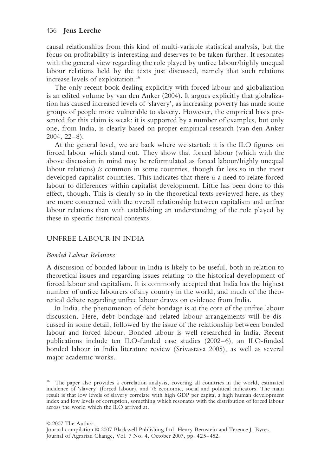causal relationships from this kind of multi-variable statistical analysis, but the focus on profitability is interesting and deserves to be taken further. It resonates with the general view regarding the role played by unfree labour/highly unequal labour relations held by the texts just discussed, namely that such relations increase levels of exploitation.16

The only recent book dealing explicitly with forced labour and globalization is an edited volume by van den Anker (2004). It argues explicitly that globalization has caused increased levels of 'slavery', as increasing poverty has made some groups of people more vulnerable to slavery. However, the empirical basis presented for this claim is weak: it is supported by a number of examples, but only one, from India, is clearly based on proper empirical research (van den Anker 2004, 22–8).

At the general level, we are back where we started: it is the ILO figures on forced labour which stand out. They show that forced labour (which with the above discussion in mind may be reformulated as forced labour/highly unequal labour relations) *is* common in some countries, though far less so in the most developed capitalist countries. This indicates that there *is* a need to relate forced labour to differences within capitalist development. Little has been done to this effect, though. This is clearly so in the theoretical texts reviewed here, as they are more concerned with the overall relationship between capitalism and unfree labour relations than with establishing an understanding of the role played by these in specific historical contexts.

## UNFREE LABOUR IN INDIA

### *Bonded Labour Relations*

A discussion of bonded labour in India is likely to be useful, both in relation to theoretical issues and regarding issues relating to the historical development of forced labour and capitalism. It is commonly accepted that India has the highest number of unfree labourers of any country in the world, and much of the theoretical debate regarding unfree labour draws on evidence from India.

In India, the phenomenon of debt bondage is at the core of the unfree labour discussion. Here, debt bondage and related labour arrangements will be discussed in some detail, followed by the issue of the relationship between bonded labour and forced labour. Bonded labour is well researched in India. Recent publications include ten ILO-funded case studies (2002–6), an ILO-funded bonded labour in India literature review (Srivastava 2005), as well as several major academic works.

© 2007 The Author.

<sup>&</sup>lt;sup>16</sup> The paper also provides a correlation analysis, covering all countries in the world, estimated incidence of 'slavery' (forced labour), and 76 economic, social and political indicators. The main result is that low levels of slavery correlate with high GDP per capita, a high human development index and low levels of corruption, something which resonates with the distribution of forced labour across the world which the ILO arrived at.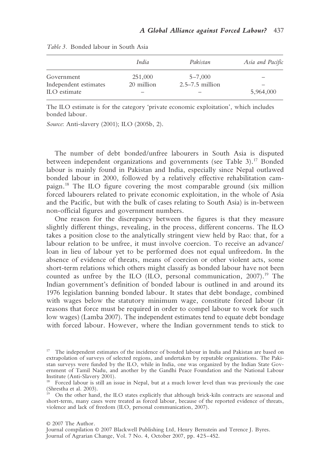|                       | India      | Pakistan            | Asia and Pacific |
|-----------------------|------------|---------------------|------------------|
| Government            | 251,000    | $5 - 7.000$         |                  |
| Independent estimates | 20 million | $2.5 - 7.5$ million |                  |
| ILO estimate          |            |                     | 5,964,000        |

*Table 3.* Bonded labour in South Asia

The ILO estimate is for the category 'private economic exploitation', which includes bonded labour.

*Source*: Anti-slavery (2001); ILO (2005b, 2).

The number of debt bonded/unfree labourers in South Asia is disputed between independent organizations and governments (see Table 3).<sup>17</sup> Bonded labour is mainly found in Pakistan and India, especially since Nepal outlawed bonded labour in 2000, followed by a relatively effective rehabilitation campaign.18 The ILO figure covering the most comparable ground (six million forced labourers related to private economic exploitation, in the whole of Asia and the Pacific, but with the bulk of cases relating to South Asia) is in-between non-official figures and government numbers.

One reason for the discrepancy between the figures is that they measure slightly different things, revealing, in the process, different concerns. The ILO takes a position close to the analytically stringent view held by Rao: that, for a labour relation to be unfree, it must involve coercion. To receive an advance/ loan in lieu of labour yet to be performed does not equal unfreedom. In the absence of evidence of threats, means of coercion or other violent acts, some short-term relations which others might classify as bonded labour have not been counted as unfree by the ILO (ILO, personal communication,  $2007$ ).<sup>19</sup> The Indian government's definition of bonded labour is outlined in and around its 1976 legislation banning bonded labour. It states that debt bondage, combined with wages below the statutory minimum wage, constitute forced labour (it reasons that force must be required in order to compel labour to work for such low wages) (Lamba 2007). The independent estimates tend to equate debt bondage with forced labour. However, where the Indian government tends to stick to

<sup>&</sup>lt;sup>17</sup> The independent estimates of the incidence of bonded labour in India and Pakistan are based on extrapolation of surveys of selected regions, and undertaken by reputable organizations. The Pakistan surveys were funded by the ILO, while in India, one was organized by the Indian State Government of Tamil Nadu, and another by the Gandhi Peace Foundation and the National Labour Institute (Anti-Slavery 2001).

<sup>&</sup>lt;sup>18</sup> Forced labour is still an issue in Nepal, but at a much lower level than was previously the case (Shrestha et al. 2003).

<sup>&</sup>lt;sup>19</sup> On the other hand, the ILO states explicitly that although brick-kiln contracts are seasonal and short-term, many cases were treated as forced labour, because of the reported evidence of threats, violence and lack of freedom (ILO, personal communication, 2007).

<sup>© 2007</sup> The Author.

Journal compilation © 2007 Blackwell Publishing Ltd, Henry Bernstein and Terence J. Byres. Journal of Agrarian Change, Vol. 7 No. 4, October 2007, pp. 425–452.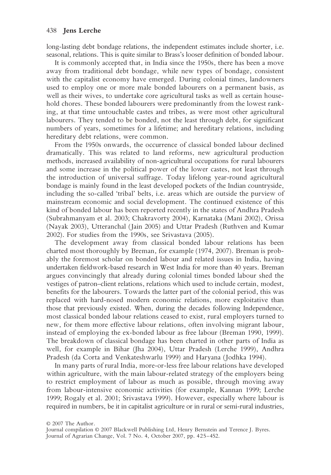long-lasting debt bondage relations, the independent estimates include shorter, i.e. seasonal, relations. This is quite similar to Brass's looser definition of bonded labour.

It is commonly accepted that, in India since the 1950s, there has been a move away from traditional debt bondage, while new types of bondage, consistent with the capitalist economy have emerged. During colonial times, landowners used to employ one or more male bonded labourers on a permanent basis, as well as their wives, to undertake core agricultural tasks as well as certain household chores. These bonded labourers were predominantly from the lowest ranking, at that time untouchable castes and tribes, as were most other agricultural labourers. They tended to be bonded, not the least through debt, for significant numbers of years, sometimes for a lifetime; and hereditary relations, including hereditary debt relations, were common.

From the 1950s onwards, the occurrence of classical bonded labour declined dramatically. This was related to land reforms, new agricultural production methods, increased availability of non-agricultural occupations for rural labourers and some increase in the political power of the lower castes, not least through the introduction of universal suffrage. Today lifelong year-round agricultural bondage is mainly found in the least developed pockets of the Indian countryside, including the so-called 'tribal' belts, i.e. areas which are outside the purview of mainstream economic and social development. The continued existence of this kind of bonded labour has been reported recently in the states of Andhra Pradesh (Subrahmanyam et al. 2003; Chakravorty 2004), Karnataka (Mani 2002), Orissa (Nayak 2003), Utteranchal (Jain 2005) and Uttar Pradesh (Ruthven and Kumar 2002). For studies from the 1990s, see Srivastava (2005).

The development away from classical bonded labour relations has been charted most thoroughly by Breman, for example (1974, 2007). Breman is probably the foremost scholar on bonded labour and related issues in India, having undertaken fieldwork-based research in West India for more than 40 years. Breman argues convincingly that already during colonial times bonded labour shed the vestiges of patron–client relations, relations which used to include certain, modest, benefits for the labourers. Towards the latter part of the colonial period, this was replaced with hard-nosed modern economic relations, more exploitative than those that previously existed. When, during the decades following Independence, most classical bonded labour relations ceased to exist, rural employers turned to new, for them more effective labour relations, often involving migrant labour, instead of employing the ex-bonded labour as free labour (Breman 1990, 1999). The breakdown of classical bondage has been charted in other parts of India as well, for example in Bihar (Jha 2004), Uttar Pradesh (Lerche 1999), Andhra Pradesh (da Corta and Venkateshwarlu 1999) and Haryana (Jodhka 1994).

In many parts of rural India, more-or-less free labour relations have developed within agriculture, with the main labour-related strategy of the employers being to restrict employment of labour as much as possible, through moving away from labour-intensive economic activities (for example, Kannan 1999; Lerche 1999; Rogaly et al. 2001; Srivastava 1999). However, especially where labour is required in numbers, be it in capitalist agriculture or in rural or semi-rural industries,

<sup>© 2007</sup> The Author.

Journal compilation © 2007 Blackwell Publishing Ltd, Henry Bernstein and Terence J. Byres. Journal of Agrarian Change, Vol. 7 No. 4, October 2007, pp. 425–452.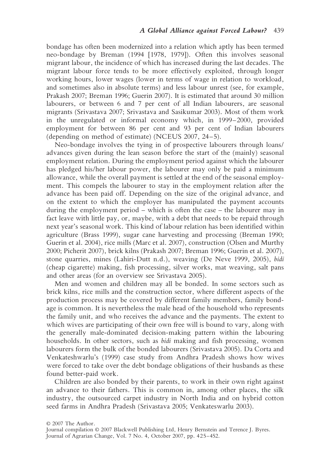bondage has often been modernized into a relation which aptly has been termed neo-bondage by Breman (1994 [1978, 1979]). Often this involves seasonal migrant labour, the incidence of which has increased during the last decades. The migrant labour force tends to be more effectively exploited, through longer working hours, lower wages (lower in terms of wage in relation to workload, and sometimes also in absolute terms) and less labour unrest (see, for example, Prakash 2007; Breman 1996; Guerin 2007). It is estimated that around 30 million labourers, or between 6 and 7 per cent of all Indian labourers, are seasonal migrants (Srivastava 2007; Srivastava and Sasikumar 2003). Most of them work in the unregulated or informal economy which, in 1999–2000, provided employment for between 86 per cent and 93 per cent of Indian labourers (depending on method of estimate) (NCEUS 2007, 24–5).

Neo-bondage involves the tying in of prospective labourers through loans/ advances given during the lean season before the start of the (mainly) seasonal employment relation. During the employment period against which the labourer has pledged his/her labour power, the labourer may only be paid a minimum allowance, while the overall payment is settled at the end of the seasonal employment. This compels the labourer to stay in the employment relation after the advance has been paid off. Depending on the size of the original advance, and on the extent to which the employer has manipulated the payment accounts during the employment period – which is often the case – the labourer may in fact leave with little pay, or, maybe, with a debt that needs to be repaid through next year's seasonal work. This kind of labour relation has been identified within agriculture (Brass 1999), sugar cane harvesting and processing (Breman 1990; Guerin et al. 2004), rice mills (Marc et al. 2007), construction (Olsen and Murthy 2000; Picherit 2007), brick kilns (Prakash 2007; Breman 1996; Guerin et al. 2007), stone quarries, mines (Lahiri-Dutt n.d.), weaving (De Neve 1999, 2005), *bidi* (cheap cigarette) making, fish processing, silver works, mat weaving, salt pans and other areas (for an overview see Srivastava 2005).

Men and women and children may all be bonded. In some sectors such as brick kilns, rice mills and the construction sector, where different aspects of the production process may be covered by different family members, family bondage is common. It is nevertheless the male head of the household who represents the family unit, and who receives the advance and the payments. The extent to which wives are participating of their own free will is bound to vary, along with the generally male-dominated decision-making pattern within the labouring households. In other sectors, such as *bidi* making and fish processing, women labourers form the bulk of the bonded labourers (Srivastava 2005). Da Corta and Venkateshwarlu's (1999) case study from Andhra Pradesh shows how wives were forced to take over the debt bondage obligations of their husbands as these found better-paid work.

Children are also bonded by their parents, to work in their own right against an advance to their fathers. This is common in, among other places, the silk industry, the outsourced carpet industry in North India and on hybrid cotton seed farms in Andhra Pradesh (Srivastava 2005; Venkateswarlu 2003).

<sup>© 2007</sup> The Author.

Journal compilation © 2007 Blackwell Publishing Ltd, Henry Bernstein and Terence J. Byres. Journal of Agrarian Change, Vol. 7 No. 4, October 2007, pp. 425–452.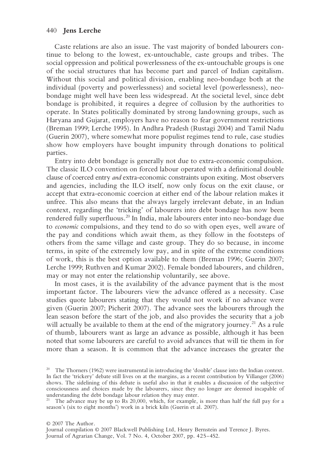## 440 **Jens Lerche**

Caste relations are also an issue. The vast majority of bonded labourers continue to belong to the lowest, ex-untouchable, caste groups and tribes. The social oppression and political powerlessness of the ex-untouchable groups is one of the social structures that has become part and parcel of Indian capitalism. Without this social and political division, enabling neo-bondage both at the individual (poverty and powerlessness) and societal level (powerlessness), neobondage might well have been less widespread. At the societal level, since debt bondage is prohibited, it requires a degree of collusion by the authorities to operate. In States politically dominated by strong landowning groups, such as Haryana and Gujarat, employers have no reason to fear government restrictions (Breman 1999; Lerche 1995). In Andhra Pradesh (Rustagi 2004) and Tamil Nadu (Guerin 2007), where somewhat more populist regimes tend to rule, case studies show how employers have bought impunity through donations to political parties.

Entry into debt bondage is generally not due to extra-economic compulsion. The classic ILO convention on forced labour operated with a definitional double clause of coerced entry *and* extra-economic constraints upon exiting. Most observers and agencies, including the ILO itself, now only focus on the exit clause, or accept that extra-economic coercion at either end of the labour relation makes it unfree. This also means that the always largely irrelevant debate, in an Indian context, regarding the 'tricking' of labourers into debt bondage has now been rendered fully superfluous.<sup>20</sup> In India, male labourers enter into neo-bondage due to *economic* compulsions, and they tend to do so with open eyes, well aware of the pay and conditions which await them, as they follow in the footsteps of others from the same village and caste group. They do so because, in income terms, in spite of the extremely low pay, and in spite of the extreme conditions of work, this is the best option available to them (Breman 1996; Guerin 2007; Lerche 1999; Ruthven and Kumar 2002). Female bonded labourers, and children, may or may not enter the relationship voluntarily, see above.

In most cases, it is the availability of the advance payment that is the most important factor. The labourers view the advance offered as a necessity. Case studies quote labourers stating that they would not work if no advance were given (Guerin 2007; Picherit 2007). The advance sees the labourers through the lean season before the start of the job, and also provides the security that a job will actually be available to them at the end of the migratory journey.<sup>21</sup> As a rule of thumb, labourers want as large an advance as possible, although it has been noted that some labourers are careful to avoid advances that will tie them in for more than a season. It is common that the advance increases the greater the

© 2007 The Author.

<sup>&</sup>lt;sup>20</sup> The Thorners (1962) were instrumental in introducing the 'double' clause into the Indian context. In fact the 'trickery' debate still lives on at the margins, as a recent contribution by Villanger (2006) shows. The sidelining of this debate is useful also in that it enables a discussion of the subjective consciousness and choices made by the labourers, since they no longer are deemed incapable of understanding the debt bondage labour relation they may enter.

<sup>&</sup>lt;sup>21</sup> The advance may be up to Rs 20,000, which, for example, is more than half the full pay for a season's (six to eight months') work in a brick kiln (Guerin et al. 2007).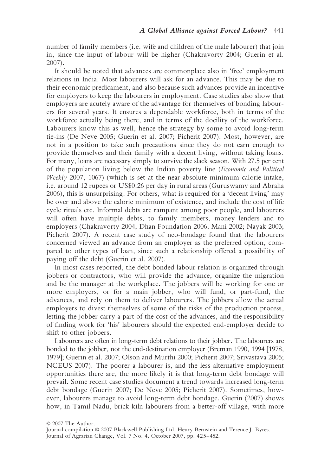number of family members (i.e. wife and children of the male labourer) that join in, since the input of labour will be higher (Chakravorty 2004; Guerin et al. 2007).

It should be noted that advances are commonplace also in 'free' employment relations in India. Most labourers will ask for an advance. This may be due to their economic predicament, and also because such advances provide an incentive for employers to keep the labourers in employment. Case studies also show that employers are acutely aware of the advantage for themselves of bonding labourers for several years. It ensures a dependable workforce, both in terms of the workforce actually being there, and in terms of the docility of the workforce. Labourers know this as well, hence the strategy by some to avoid long-term tie-ins (De Neve 2005; Guerin et al. 2007; Picherit 2007). Most, however, are not in a position to take such precautions since they do not earn enough to provide themselves and their family with a decent living, without taking loans. For many, loans are necessary simply to survive the slack season. With 27.5 per cent of the population living below the Indian poverty line (*Economic and Political Weekly* 2007, 1067) (which is set at the near-absolute minimum calorie intake, i.e. around 12 rupees or US\$0.26 per day in rural areas (Guruswamy and Abraha 2006), this is unsurprising. For others, what is required for a 'decent living' may be over and above the calorie minimum of existence, and include the cost of life cycle rituals etc. Informal debts are rampant among poor people, and labourers will often have multiple debts, to family members, money lenders and to employers (Chakravorty 2004; Dhan Foundation 2006; Mani 2002; Nayak 2003; Picherit 2007). A recent case study of neo-bondage found that the labourers concerned viewed an advance from an employer as the preferred option, compared to other types of loan, since such a relationship offered a possibility of paying off the debt (Guerin et al. 2007).

In most cases reported, the debt bonded labour relation is organized through jobbers or contractors, who will provide the advance, organize the migration and be the manager at the workplace. The jobbers will be working for one or more employers, or for a main jobber, who will fund, or part-fund, the advances, and rely on them to deliver labourers. The jobbers allow the actual employers to divest themselves of some of the risks of the production process, letting the jobber carry a part of the cost of the advances, and the responsibility of finding work for 'his' labourers should the expected end-employer decide to shift to other jobbers.

Labourers are often in long-term debt relations to their jobber. The labourers are bonded to the jobber, not the end-destination employer (Breman 1990, 1994 [1978, 1979]; Guerin et al. 2007; Olson and Murthi 2000; Picherit 2007; Srivastava 2005; NCEUS 2007). The poorer a labourer is, and the less alternative employment opportunities there are, the more likely it is that long-term debt bondage will prevail. Some recent case studies document a trend towards increased long-term debt bondage (Guerin 2007; De Neve 2005; Picherit 2007). Sometimes, however, labourers manage to avoid long-term debt bondage. Guerin (2007) shows how, in Tamil Nadu, brick kiln labourers from a better-off village, with more

<sup>© 2007</sup> The Author.

Journal compilation © 2007 Blackwell Publishing Ltd, Henry Bernstein and Terence J. Byres. Journal of Agrarian Change, Vol. 7 No. 4, October 2007, pp. 425–452.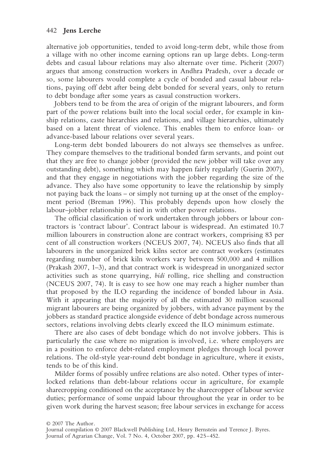alternative job opportunities, tended to avoid long-term debt, while those from a village with no other income earning options ran up large debts. Long-term debts and casual labour relations may also alternate over time. Picherit (2007) argues that among construction workers in Andhra Pradesh, over a decade or so, some labourers would complete a cycle of bonded and casual labour relations, paying off debt after being debt bonded for several years, only to return to debt bondage after some years as casual construction workers.

Jobbers tend to be from the area of origin of the migrant labourers, and form part of the power relations built into the local social order, for example in kinship relations, caste hierarchies and relations, and village hierarchies, ultimately based on a latent threat of violence. This enables them to enforce loan- or advance-based labour relations over several years.

Long-term debt bonded labourers do not always see themselves as unfree. They compare themselves to the traditional bonded farm servants, and point out that they are free to change jobber (provided the new jobber will take over any outstanding debt), something which may happen fairly regularly (Guerin 2007), and that they engage in negotiations with the jobber regarding the size of the advance. They also have some opportunity to leave the relationship by simply not paying back the loans – or simply not turning up at the onset of the employment period (Breman 1996). This probably depends upon how closely the labour–jobber relationship is tied in with other power relations.

The official classification of work undertaken through jobbers or labour contractors is 'contract labour'. Contract labour is widespread. An estimated 10.7 million labourers in construction alone are contract workers, comprising 83 per cent of all construction workers (NCEUS 2007, 74). NCEUS also finds that all labourers in the unorganized brick kilns sector are contract workers (estimates regarding number of brick kiln workers vary between 500,000 and 4 million (Prakash 2007, 1–3), and that contract work is widespread in unorganized sector activities such as stone quarrying, *bidi* rolling, rice shelling and construction (NCEUS 2007, 74). It is easy to see how one may reach a higher number than that proposed by the ILO regarding the incidence of bonded labour in Asia. With it appearing that the majority of all the estimated 30 million seasonal migrant labourers are being organized by jobbers, with advance payment by the jobbers as standard practice alongside evidence of debt bondage across numerous sectors, relations involving debts clearly exceed the ILO minimum estimate.

There are also cases of debt bondage which do not involve jobbers. This is particularly the case where no migration is involved, i.e. where employers are in a position to enforce debt-related employment pledges through local power relations. The old-style year-round debt bondage in agriculture, where it exists, tends to be of this kind.

Milder forms of possibly unfree relations are also noted. Other types of interlocked relations than debt-labour relations occur in agriculture, for example sharecropping conditioned on the acceptance by the sharecropper of labour service duties; performance of some unpaid labour throughout the year in order to be given work during the harvest season; free labour services in exchange for access

© 2007 The Author.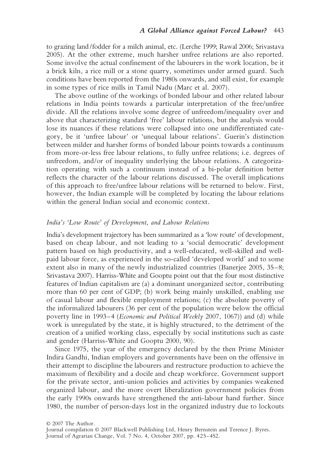to grazing land/fodder for a milch animal, etc. (Lerche 1999; Rawal 2006; Srivastava 2005). At the other extreme, much harsher unfree relations are also reported. Some involve the actual confinement of the labourers in the work location, be it a brick kiln, a rice mill or a stone quarry, sometimes under armed guard. Such conditions have been reported from the 1980s onwards, and still exist, for example in some types of rice mills in Tamil Nadu (Marc et al. 2007).

The above outline of the workings of bonded labour and other related labour relations in India points towards a particular interpretation of the free/unfree divide. All the relations involve some degree of unfreedom/inequality over and above that characterizing standard 'free' labour relations, but the analysis would lose its nuances if these relations were collapsed into one undifferentiated category, be it 'unfree labour' or 'unequal labour relations'. Guerin's distinction between milder and harsher forms of bonded labour points towards a continuum from more-or-less free labour relations, to fully unfree relations; i.e. degrees of unfreedom, and/or of inequality underlying the labour relations. A categorization operating with such a continuum instead of a bi-polar definition better reflects the character of the labour relations discussed. The overall implications of this approach to free/unfree labour relations will be returned to below. First, however, the Indian example will be completed by locating the labour relations within the general Indian social and economic context.

## *India's 'Low Route' of Development, and Labour Relations*

India's development trajectory has been summarized as a 'low route' of development, based on cheap labour, and not leading to a 'social democratic' development pattern based on high productivity, and a well-educated, well-skilled and wellpaid labour force, as experienced in the so-called 'developed world' and to some extent also in many of the newly industrialized countries (Banerjee 2005, 35–8; Srivastava 2007). Harriss-White and Gooptu point out that the four most distinctive features of Indian capitalism are (a) a dominant unorganized sector, contributing more than 60 per cent of GDP; (b) work being mainly unskilled, enabling use of casual labour and flexible employment relations; (c) the absolute poverty of the informalized labourers (36 per cent of the population were below the official poverty line in 1993–4 (*Economic and Political Weekly* 2007, 1067)) and (d) while work is unregulated by the state, it is highly structured, to the detriment of the creation of a unified working class, especially by social institutions such as caste and gender (Harriss-White and Gooptu 2000, 90).

Since 1975, the year of the emergency declared by the then Prime Minister Indira Gandhi, Indian employers and governments have been on the offensive in their attempt to discipline the labourers and restructure production to achieve the maximum of flexibility and a docile and cheap workforce. Government support for the private sector, anti-union policies and activities by companies weakened organized labour, and the more overt liberalization government policies from the early 1990s onwards have strengthened the anti-labour hand further. Since 1980, the number of person-days lost in the organized industry due to lockouts

<sup>© 2007</sup> The Author.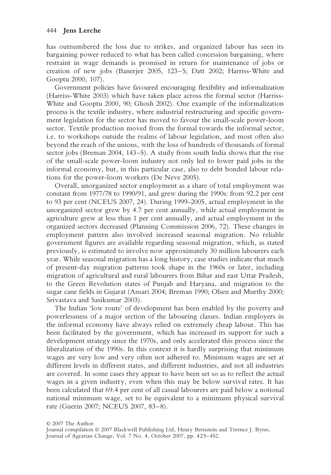has outnumbered the loss due to strikes, and organized labour has seen its bargaining power reduced to what has been called concession bargaining, where restraint in wage demands is promised in return for maintenance of jobs or creation of new jobs (Banerjee 2005, 123–5; Datt 2002; Harriss-White and Gooptu 2000, 107).

Government policies have favoured encouraging flexibility and informalization (Harriss-White 2003) which have taken place across the formal sector (Harriss-White and Gooptu 2000, 90; Ghosh 2002). One example of the informalization process is the textile industry, where industrial restructuring and specific government legislation for the sector has moved to favour the small-scale power-loom sector. Textile production moved from the formal towards the informal sector, i.e. to workshops outside the realms of labour legislation, and most often also beyond the reach of the unions, with the loss of hundreds of thousands of formal sector jobs (Breman 2004, 143–5). A study from south India shows that the rise of the small-scale power-loom industry not only led to lower paid jobs in the informal economy, but, in this particular case, also to debt bonded labour relations for the power-loom workers (De Neve 2005).

Overall, unorganized sector employment as a share of total employment was constant from 1977/78 to 1990/91, and grew during the 1990s: from 92.2 per cent to 93 per cent (NCEUS 2007, 24). During 1999–2005, actual employment in the unorganized sector grew by 4.7 per cent annually, while actual employment in agriculture grew at less than 1 per cent annually, and actual employment in the organized sectors decreased (Planning Commission 2006, 72). These changes in employment pattern also involved increased seasonal migration. No reliable government figures are available regarding seasonal migration, which, as stated previously, is estimated to involve now approximately 30 million labourers each year. While seasonal migration has a long history, case studies indicate that much of present-day migration patterns took shape in the 1960s or later, including migration of agricultural and rural labourers from Bihar and east Uttar Pradesh, to the Green Revolution states of Punjab and Haryana, and migration to the sugar cane fields in Gujarat (Ansari 2004; Breman 1990; Olsen and Murthy 2000; Srivastava and Sasikumar 2003).

The Indian 'low route' of development has been enabled by the poverty and powerlessness of a major section of the labouring classes. Indian employers in the informal economy have always relied on extremely cheap labour. This has been facilitated by the government, which has increased its support for such a development strategy since the 1970s, and only accelerated this process since the liberalization of the 1990s. In this context it is hardly surprising that minimum wages are very low and very often not adhered to. Minimum wages are set at different levels in different states, and different industries, and not all industries are covered. In some cases they appear to have been set so as to reflect the actual wages in a given industry, even when this may be below survival rates. It has been calculated that 69.4 per cent of all casual labourers are paid below a notional national minimum wage, set to be equivalent to a minimum physical survival rate (Guerin 2007; NCEUS 2007, 83–8).

<sup>© 2007</sup> The Author.

Journal compilation © 2007 Blackwell Publishing Ltd, Henry Bernstein and Terence J. Byres. Journal of Agrarian Change, Vol. 7 No. 4, October 2007, pp. 425–452.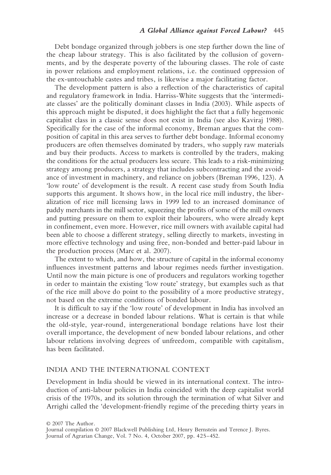Debt bondage organized through jobbers is one step further down the line of the cheap labour strategy. This is also facilitated by the collusion of governments, and by the desperate poverty of the labouring classes. The role of caste in power relations and employment relations, i.e. the continued oppression of the ex-untouchable castes and tribes, is likewise a major facilitating factor.

The development pattern is also a reflection of the characteristics of capital and regulatory framework in India. Harriss-White suggests that the 'intermediate classes' are the politically dominant classes in India (2003). While aspects of this approach might be disputed, it does highlight the fact that a fully hegemonic capitalist class in a classic sense does not exist in India (see also Kaviraj 1988). Specifically for the case of the informal economy, Breman argues that the composition of capital in this area serves to further debt bondage. Informal economy producers are often themselves dominated by traders, who supply raw materials and buy their products. Access to markets is controlled by the traders, making the conditions for the actual producers less secure. This leads to a risk-minimizing strategy among producers, a strategy that includes subcontracting and the avoidance of investment in machinery, and reliance on jobbers (Breman 1996, 123). A 'low route' of development is the result. A recent case study from South India supports this argument. It shows how, in the local rice mill industry, the liberalization of rice mill licensing laws in 1999 led to an increased dominance of paddy merchants in the mill sector, squeezing the profits of some of the mill owners and putting pressure on them to exploit their labourers, who were already kept in confinement, even more. However, rice mill owners with available capital had been able to choose a different strategy, selling directly to markets, investing in more effective technology and using free, non-bonded and better-paid labour in the production process (Marc et al. 2007).

The extent to which, and how, the structure of capital in the informal economy influences investment patterns and labour regimes needs further investigation. Until now the main picture is one of producers and regulators working together in order to maintain the existing 'low route' strategy, but examples such as that of the rice mill above do point to the possibility of a more productive strategy, not based on the extreme conditions of bonded labour.

It is difficult to say if the 'low route' of development in India has involved an increase or a decrease in bonded labour relations. What is certain is that while the old-style, year-round, intergenerational bondage relations have lost their overall importance, the development of new bonded labour relations, and other labour relations involving degrees of unfreedom, compatible with capitalism, has been facilitated.

## INDIA AND THE INTERNATIONAL CONTEXT

Development in India should be viewed in its international context. The introduction of anti-labour policies in India coincided with the deep capitalist world crisis of the 1970s, and its solution through the termination of what Silver and Arrighi called the 'development-friendly regime of the preceding thirty years in

© 2007 The Author.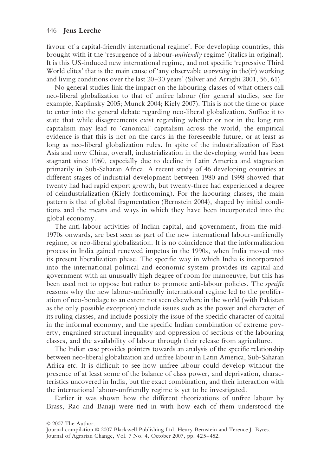favour of a capital-friendly international regime'. For developing countries, this brought with it the 'resurgence of a labour-*unfriendly* regime' (italics in original). It is this US-induced new international regime, and not specific 'repressive Third World elites' that is the main cause of 'any observable *worsening* in the(ir) working and living conditions over the last 20–30 years' (Silver and Arrighi 2001, 56, 61).

No general studies link the impact on the labouring classes of what others call neo-liberal globalization to that of unfree labour (for general studies, see for example, Kaplinsky 2005; Munck 2004; Kiely 2007). This is not the time or place to enter into the general debate regarding neo-liberal globalization. Suffice it to state that while disagreements exist regarding whether or not in the long run capitalism may lead to 'canonical' capitalism across the world, the empirical evidence is that this is not on the cards in the foreseeable future, or at least as long as neo-liberal globalization rules. In spite of the industrialization of East Asia and now China, overall, industrialization in the developing world has been stagnant since 1960, especially due to decline in Latin America and stagnation primarily in Sub-Saharan Africa. A recent study of 46 developing countries at different stages of industrial development between 1980 and 1998 showed that twenty had had rapid export growth, but twenty-three had experienced a degree of deindustrialization (Kiely forthcoming). For the labouring classes, the main pattern is that of global fragmentation (Bernstein 2004), shaped by initial conditions and the means and ways in which they have been incorporated into the global economy.

The anti-labour activities of Indian capital, and government, from the mid-1970s onwards, are best seen as part of the new international labour-unfriendly regime, or neo-liberal globalization. It is no coincidence that the informalization process in India gained renewed impetus in the 1990s, when India moved into its present liberalization phase. The specific way in which India is incorporated into the international political and economic system provides its capital and government with an unusually high degree of room for manoeuvre, but this has been used not to oppose but rather to promote anti-labour policies. The *specific* reasons why the new labour-unfriendly international regime led to the proliferation of neo-bondage to an extent not seen elsewhere in the world (with Pakistan as the only possible exception) include issues such as the power and character of its ruling classes, and include possibly the issue of the specific character of capital in the informal economy, and the specific Indian combination of extreme poverty, engrained structural inequality and oppression of sections of the labouring classes, and the availability of labour through their release from agriculture.

The Indian case provides pointers towards an analysis of the specific relationship between neo-liberal globalization and unfree labour in Latin America, Sub-Saharan Africa etc. It is difficult to see how unfree labour could develop without the presence of at least some of the balance of class power, and deprivation, characteristics uncovered in India, but the exact combination, and their interaction with the international labour-unfriendly regime is yet to be investigated.

Earlier it was shown how the different theorizations of unfree labour by Brass, Rao and Banaji were tied in with how each of them understood the

© 2007 The Author.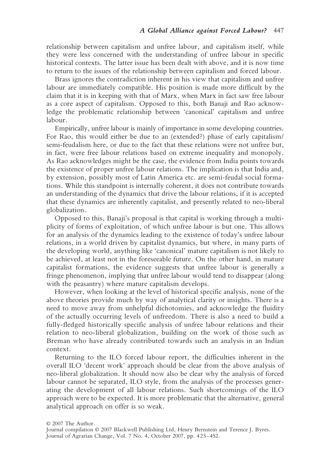relationship between capitalism and unfree labour, and capitalism itself, while they were less concerned with the understanding of unfree labour in specific historical contexts. The latter issue has been dealt with above, and it is now time to return to the issues of the relationship between capitalism and forced labour.

Brass ignores the contradiction inherent in his view that capitalism and unfree labour are immediately compatible. His position is made more difficult by the claim that it is in keeping with that of Marx, when Marx in fact saw free labour as a core aspect of capitalism. Opposed to this, both Banaji and Rao acknowledge the problematic relationship between 'canonical' capitalism and unfree labour.

Empirically, unfree labour is mainly of importance in some developing countries. For Rao, this would either be due to an (extended?) phase of early capitalism/ semi-feudalism here, or due to the fact that these relations were not unfree but, in fact, were free labour relations based on extreme inequality and monopoly. As Rao acknowledges might be the case, the evidence from India points towards the existence of proper unfree labour relations. The implication is that India and, by extension, possibly most of Latin America etc. are semi-feudal social formations. While this standpoint is internally coherent, it does not contribute towards an understanding of the dynamics that drive the labour relations, if it is accepted that these dynamics are inherently capitalist, and presently related to neo-liberal globalization.

Opposed to this, Banaji's proposal is that capital is working through a multiplicity of forms of exploitation, of which unfree labour is but one. This allows for an analysis of the dynamics leading to the existence of today's unfree labour relations, in a world driven by capitalist dynamics, but where, in many parts of the developing world, anything like 'canonical' mature capitalism is not likely to be achieved, at least not in the foreseeable future. On the other hand, in mature capitalist formations, the evidence suggests that unfree labour is generally a fringe phenomenon, implying that unfree labour would tend to disappear (along with the peasantry) where mature capitalism develops.

However, when looking at the level of historical specific analysis, none of the above theories provide much by way of analytical clarity or insights. There is a need to move away from unhelpful dichotomies, and acknowledge the fluidity of the actually occurring levels of unfreedom. There is also a need to build a fully-fledged historically specific analysis of unfree labour relations and their relation to neo-liberal globalization, building on the work of those such as Breman who have already contributed towards such an analysis in an Indian context.

Returning to the ILO forced labour report, the difficulties inherent in the overall ILO 'decent work' approach should be clear from the above analysis of neo-liberal globalization. It should now also be clear why the analysis of forced labour cannot be separated, ILO style, from the analysis of the processes generating the development of all labour relations. Such shortcomings of the ILO approach were to be expected. It is more problematic that the alternative, general analytical approach on offer is so weak.

<sup>© 2007</sup> The Author.

Journal compilation © 2007 Blackwell Publishing Ltd, Henry Bernstein and Terence J. Byres. Journal of Agrarian Change, Vol. 7 No. 4, October 2007, pp. 425–452.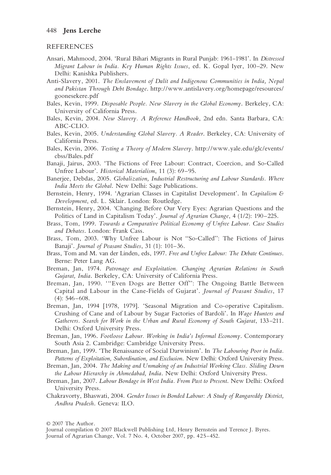## REFERENCES

- Ansari, Mahmood, 2004. 'Rural Bihari Migrants in Rural Punjab: 1961–1981'. In *Distressed Migrant Labour in India. Key Human Rights Issues*, ed. K. Gopal Iyer, 100–29. New Delhi: Kanishka Publishers.
- Anti-Slavery, 2001. *The Enslavement of Dalit and Indigenous Communities in India, Nepal and Pakistan Through Debt Bondage*. http://www.antislavery.org/homepage/resources/ goonesekere.pdf
- Bales, Kevin, 1999. *Disposable People. New Slavery in the Global Economy*. Berkeley, CA: University of California Press.
- Bales, Kevin, 2004. *New Slavery. A Reference Handbook*, 2nd edn. Santa Barbara, CA: ABC-CLIO.
- Bales, Kevin, 2005. *Understanding Global Slavery. A Reader*. Berkeley, CA: University of California Press.
- Bales, Kevin, 2006. *Testing a Theory of Modern Slavery*. http://www.yale.edu/glc/events/ cbss/Bales.pdf
- Banaji, Jairus, 2003. 'The Fictions of Free Labour: Contract, Coercion, and So-Called Unfree Labour'. *Historical Materialism*, 11 (3): 69–95.
- Banerjee, Debdas, 2005. *Globalization, Industrial Restructuring and Labour Standards. Where India Meets the Global*. New Delhi: Sage Publications.
- Bernstein, Henry, 1994. 'Agrarian Classes in Capitalist Development'. In *Capitalism & Development*, ed. L. Sklair. London: Routledge.
- Bernstein, Henry, 2004. 'Changing Before Our Very Eyes: Agrarian Questions and the Politics of Land in Capitalism Today'. *Journal of Agrarian Change*, 4 (1/2): 190–225.
- Brass, Tom, 1999. *Towards a Comparative Political Economy of Unfree Labour. Case Studies and Debates*. London: Frank Cass.
- Brass, Tom, 2003. 'Why Unfree Labour is Not "So-Called": The Fictions of Jairus Banaji'. *Journal of Peasant Studies*, 31 (1): 101–36.
- Brass, Tom and M. van der Linden, eds, 1997. *Free and Unfree Labour: The Debate Continues*. Berne: Peter Lang AG.
- Breman, Jan, 1974. *Patronage and Exploitation. Changing Agrarian Relations in South Gujarat, India*. Berkeley, CA: University of California Press.
- Breman, Jan, 1990. '"Even Dogs are Better Off": The Ongoing Battle Between Capital and Labour in the Cane-Fields of Gujarat'. *Journal of Peasant Studies*, 17 (4): 546–608.
- Breman, Jan, 1994 [1978, 1979]. 'Seasonal Migration and Co-operative Capitalism. Crushing of Cane and of Labour by Sugar Factories of Bardoli'. In *Wage Hunters and Gatherers. Search for Work in the Urban and Rural Economy of South Gujarat*, 133–211. Delhi: Oxford University Press.
- Breman, Jan, 1996. *Footloose Labour. Working in India's Informal Economy*. Contemporary South Asia 2. Cambridge: Cambridge University Press.
- Breman, Jan, 1999. 'The Renaissance of Social Darwinism'. In *The Labouring Poor in India. Patterns of Exploitation, Subordination, and Exclusion*. New Delhi: Oxford University Press.
- Breman, Jan, 2004. *The Making and Unmaking of an Industrial Working Class. Sliding Down the Labour Hierarchy in Ahmedabad, India*. New Delhi: Oxford University Press.
- Breman, Jan, 2007. *Labour Bondage in West India. From Past to Present*. New Delhi: Oxford University Press.
- Chakravorty, Bhaswati, 2004. *Gender Issues in Bonded Labour: A Study of Rangareddy District, Andhra Pradesh*. Geneva: ILO.

<sup>© 2007</sup> The Author.

Journal compilation © 2007 Blackwell Publishing Ltd, Henry Bernstein and Terence J. Byres. Journal of Agrarian Change, Vol. 7 No. 4, October 2007, pp. 425–452.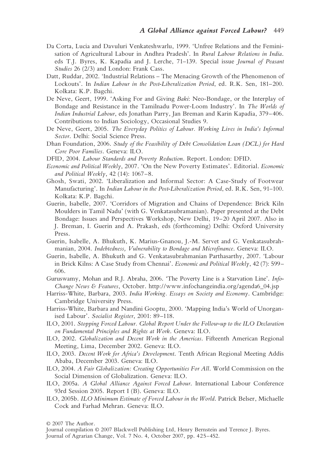- Da Corta, Lucia and Davuluri Venkateshwarlu, 1999. 'Unfree Relations and the Feminisation of Agricultural Labour in Andhra Pradesh'. In *Rural Labour Relations in India*. eds T.J. Byres, K. Kapadia and J. Lerche, 71–139. Special issue *Journal of Peasant Studies* 26 (2/3) and London: Frank Cass.
- Datt, Ruddar, 2002. 'Industrial Relations The Menacing Growth of the Phenomenon of Lockouts'. In *Indian Labour in the Post-Liberalization Period*, ed. R.K. Sen, 181–200. Kolkata: K.P. Bagchi.
- De Neve, Geert, 1999. 'Asking For and Giving *Baki*: Neo-Bondage, or the Interplay of Bondage and Resistance in the Tamilnadu Power-Loom Industry'. In *The Worlds of Indian Industrial Labour*, eds Jonathan Parry, Jan Breman and Karin Kapadia, 379–406. Contributions to Indian Sociology, Occasional Studies 9.
- De Neve, Geert, 2005. *The Everyday Politics of Labour. Working Lives in India's Informal Sector*. Delhi: Social Science Press.
- Dhan Foundation, 2006. *Study of the Feasibility of Debt Consolidation Loan (DCL) for Hard Core Poor Families*. Geneva: ILO.
- DFID, 2004. *Labour Standards and Poverty Reduction*. Report. London: DFID.
- *Economic and Political Weekly*, 2007. 'On the New Poverty Estimates'. Editorial. *Economic and Political Weekly*, 42 (14): 1067–8.
- Ghosh, Swati, 2002. 'Liberalization and Informal Sector: A Case-Study of Footwear Manufacturing'. In *Indian Labour in the Post-Liberalization Period*, ed. R.K. Sen, 91–100. Kolkata: K.P. Bagchi.
- Guerin, Isabelle, 2007. 'Corridors of Migration and Chains of Dependence: Brick Kiln Moulders in Tamil Nadu' (with G. Venkatasubramanian). Paper presented at the Debt Bondage: Issues and Perspectives Workshop, New Delhi, 19–20 April 2007. Also in J. Breman, I. Guerin and A. Prakash, eds (forthcoming) Delhi: Oxford University Press.
- Guerin, Isabelle, A. Bhukuth, K. Marius-Gnanou, J.-M. Servet and G. Venkatasubrahmanian, 2004. *Indebtedness, Vulnerability to Bondage and Microfinance*. Geneva: ILO.
- Guerin, Isabelle, A. Bhukuth and G. Venkatasubrahmanian Parthasarthy, 2007. 'Labour in Brick Kilns: A Case Study from Chennai'. *Economic and Political Weekly*, 42 (7): 599– 606.
- Guruswamy, Mohan and R.J. Abraha, 2006. 'The Poverty Line is a Starvation Line'. *Info-Change News & Features*, October. http://www.infochangeindia.org/agenda6\_04.jsp
- Harriss-White, Barbara, 2003. *India Working. Essays on Society and Economy*. Cambridge: Cambridge University Press.
- Harriss-White, Barbara and Nandini Gooptu, 2000. 'Mapping India's World of Unorganised Labour'. *Socialist Register*, 2001: 89–118.
- ILO, 2001. *Stopping Forced Labour. Global Report Under the Follow-up to the ILO Declaration on Fundamental Principles and Rights at Work*. Geneva: ILO.
- ILO, 2002. *Globalization and Decent Work in the Americas*. Fifteenth American Regional Meeting, Lima, December 2002. Geneva: ILO.
- ILO, 2003. *Decent Work for Africa's Development*. Tenth African Regional Meeting Addis Ababa, December 2003. Geneva: ILO.
- ILO, 2004. *A Fair Globalization: Creating Opportunities For All*. World Commission on the Social Dimension of Globalization. Geneva: ILO.
- ILO, 2005a. *A Global Alliance Against Forced Labour*. International Labour Conference 93rd Session 2005. Report I (B). Geneva: ILO.
- ILO, 2005b. *ILO Minimum Estimate of Forced Labour in the World*. Patrick Belser, Michaelle Cock and Farhad Mehran. Geneva: ILO.

<sup>© 2007</sup> The Author.

Journal compilation © 2007 Blackwell Publishing Ltd, Henry Bernstein and Terence J. Byres. Journal of Agrarian Change, Vol. 7 No. 4, October 2007, pp. 425–452.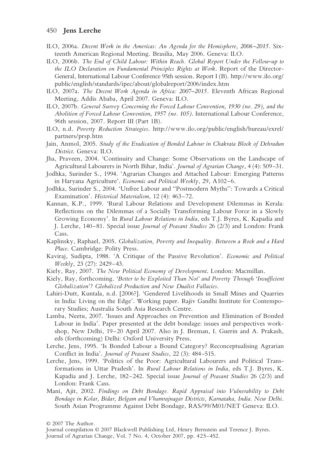## 450 **Jens Lerche**

- ILO, 2006a. *Decent Work in the Americas: An Agenda for the Hemisphere, 2006–2015*. Sixteenth American Regional Meeting. Brasilia, May 2006. Geneva: ILO.
- ILO, 2006b. *The End of Child Labour: Within Reach. Global Report Under the Follow-up to the ILO Declaration on Fundamental Principles Rights at Work*. Report of the Director-General, International Labour Conference 95th session. Report I (B). http://www.ilo.org/ public/english/standards/ipec/about/globalreport/2006/index.htm
- ILO, 2007a. *The Decent Work Agenda in Africa: 2007–2015*. Eleventh African Regional Meeting, Addis Ababa, April 2007. Geneva: ILO.
- ILO, 2007b. *General Survey Concerning the Forced Labour Convention, 1930 (no. 29), and the Abolition of Forced Labour Convention, 1957 (no. 105)*. International Labour Conference, 96th session, 2007. Report III (Part 1B).
- ILO, n.d. *Poverty Reduction Strategies*. http://www.ilo.org/public/english/bureau/exrel/ partners/prsp.htm
- Jain, Anmol, 2005. *Study of the Eradication of Bonded Labour in Chakrata Block of Dehradun District*. Geneva: ILO.
- Jha, Praveen, 2004. 'Continuity and Change: Some Observations on the Landscape of Agricultural Labourers in North Bihar, India'. *Journal of Agrarian Change*, 4 (4): 509–31.
- Jodhka, Surinder S., 1994. 'Agrarian Changes and Attached Labour: Emerging Patterns in Haryana Agriculture'. *Economic and Political Weekly*, 29, A102–6.
- Jodhka, Surinder S., 2004. 'Unfree Labour and "Postmodern Myths": Towards a Critical Examination'. *Historical Materialism*, 12 (4): 463–72.
- Kannan, K.P., 1999. 'Rural Labour Relations and Development Dilemmas in Kerala: Reflections on the Dilemmas of a Socially Transforming Labour Force in a Slowly Growing Economy'. In *Rural Labour Relations in India*, eds T.J. Byres, K. Kapadia and J. Lerche, 140–81. Special issue *Journal of Peasant Studies* 26 (2/3) and London: Frank Cass.
- Kaplinsky, Raphael, 2005. *Globalization, Poverty and Inequality. Between a Rock and a Hard Place*. Cambridge: Polity Press.
- Kaviraj, Sudipta, 1988. 'A Critique of the Passive Revolution'. *Economic and Political Weekly*, 23 (27): 2429–43.
- Kiely, Ray, 2007. *The New Political Economy of Development*. London: Macmillan.
- Kiely, Ray, forthcoming. *'Better to be Exploited Than Not' and Poverty Through 'Insufficient Globalization'? Globalized Production and New Dualist Fallacies*.
- Lahiri-Dutt, Kuntala, n.d. [2006?]. 'Gendered Livelihoods in Small Mines and Quarries in India: Living on the Edge'. Working paper. Rajiv Gandhi Institute for Contemporary Studies; Australia South Asia Research Centre.
- Lamba, Neetu, 2007. 'Issues and Approaches on Prevention and Elimination of Bonded Labour in India'. Paper presented at the debt bondage: issues and perspectives workshop, New Delhi, 19–20 April 2007. Also in J. Breman, I. Guerin and A. Prakash, eds (forthcoming) Delhi: Oxford University Press.
- Lerche, Jens, 1995. 'Is Bonded Labour a Bound Category? Reconceptualising Agrarian Conflict in India'. *Journal of Peasant Studies*, 22 (3): 484–515.
- Lerche, Jens, 1999. 'Politics of the Poor: Agricultural Labourers and Political Transformations in Uttar Pradesh'. In *Rural Labour Relations in India*, eds T.J. Byres, K. Kapadia and J. Lerche, 182–242. Special issue *Journal of Peasant Studies* 26 (2/3) and London: Frank Cass.
- Mani, Ajit, 2002. *Findings on Debt Bondage. Rapid Appraisal into Vulnerability to Debt Bondage in Kolar, Bidar, Belgam and Vhamrajnagar Districts, Karnataka, India. New Delhi*. South Asian Programme Against Debt Bondage, RAS/99/M01/NET Geneva: ILO.

© 2007 The Author.

Journal compilation © 2007 Blackwell Publishing Ltd, Henry Bernstein and Terence J. Byres. Journal of Agrarian Change, Vol. 7 No. 4, October 2007, pp. 425–452.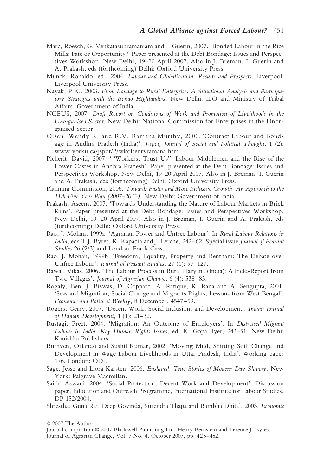- Marc, Roesch, G. Venkatasubramaniam and I. Guerin, 2007. 'Bonded Labour in the Rice Mills: Fate or Opportunity?' Paper presented at the Debt Bondage: Issues and Perspectives Workshop, New Delhi, 19–20 April 2007. Also in J. Breman, I. Guerin and A. Prakash, eds (forthcoming) Delhi: Oxford University Press.
- Munck, Ronaldo, ed., 2004. *Labour and Globalization. Results and Prospects*. Liverpool: Liverpool University Press.
- Nayak, P.K., 2003. *From Bondage to Rural Enterprise. A Situational Analysis and Participatory Strategies with the Bondo Highlanders*. New Delhi: ILO and Ministry of Tribal Affairs, Government of India.
- NCEUS, 2007. *Draft Report on Conditions of Work and Promotion of Livelihoods in the Unorganised Sector*. New Delhi: National Commission for Enterprises in the Unorganised Sector.
- Olsen, Wendy K. and R.V. Ramana Murthy, 2000. 'Contract Labour and Bondage in Andhra Pradesh (India)'. *J-spot, Journal of Social and Political Thought*, 1 (2): www.yorku.ca/jspot/2/wkolsenrvramana.htm
- Picherit, David, 2007. "'Workers, Trust Us": Labour Middlemen and the Rise of the Lower Castes in Andhra Pradesh'. Paper presented at the Debt Bondage: Issues and Perspectives Workshop, New Delhi, 19–20 April 2007. Also in J. Breman, I. Guerin and A. Prakash, eds (forthcoming) Delhi: Oxford University Press.
- Planning Commission, 2006. *Towards Faster and More Inclusive Growth. An Approach to the 11th Five Year Plan (2007–2012)*. New Delhi: Government of India.
- Prakash, Aseem, 2007. 'Towards Understanding the Nature of Labour Markets in Brick Kilns'. Paper presented at the Debt Bondage: Issues and Perspectives Workshop, New Delhi, 19–20 April 2007. Also in J. Breman, I. Guerin and A. Prakash, eds (forthcoming) Delhi: Oxford University Press.
- Rao, J. Mohan, 1999a. 'Agrarian Power and Unfree Labour'. In *Rural Labour Relations in India*, eds T.J. Byres, K. Kapadia and J. Lerche, 242–62. Special issue *Journal of Peasant Studies* 26 (2/3) and London: Frank Cass.
- Rao, J. Mohan, 1999b. 'Freedom, Equality, Property and Bentham: The Debate over Unfree Labour'. *Journal of Peasant Studies*, 27 (1): 97–127.
- Rawal, Vikas, 2006. 'The Labour Process in Rural Haryana (India): A Field-Report from Two Villages'. *Journal of Agrarian Change*, 6 (4): 538–83.
- Rogaly, Ben, J. Biswas, D. Coppard, A. Rafique, K. Rana and A. Sengupta, 2001. 'Seasonal Migration, Social Change and Migrants Rights, Lessons from West Bengal'. *Economic and Political Weekly*, 8 December, 4547–59.
- Rogers, Gerry, 2007. 'Decent Work, Social Inclusion, and Development'. *Indian Journal of Human Development*, 1 (1): 21–32.
- Rustagi, Preet, 2004. 'Migration: An Outcome of Employers'. In *Distressed Migrant Labour in India. Key Human Rights Issues*, ed. K. Gopal Iyer, 243–51. New Delhi: Kanishka Publishers.
- Ruthven, Orlando and Sushil Kumar, 2002. 'Moving Mud, Shifting Soil: Change and Development in Wage Labour Livelihoods in Uttar Pradesh, India'. Working paper 176. London: ODI.
- Sage, Jesse and Liora Karsten, 2006. *Enslaved. True Stories of Modern Day Slavery*. New York: Palgrave Macmillan.
- Saith, Aswani, 2004. 'Social Protection, Decent Work and Development'. Discussion paper, Education and Outreach Programme, International Institute for Labour Studies, DP 152/2004.
- Shrestha, Guna Raj, Deep Govinda, Surendra Thapa and Rambha Dhital, 2003. *Economic*

© 2007 The Author.

Journal compilation © 2007 Blackwell Publishing Ltd, Henry Bernstein and Terence J. Byres.

Journal of Agrarian Change, Vol. 7 No. 4, October 2007, pp. 425–452.